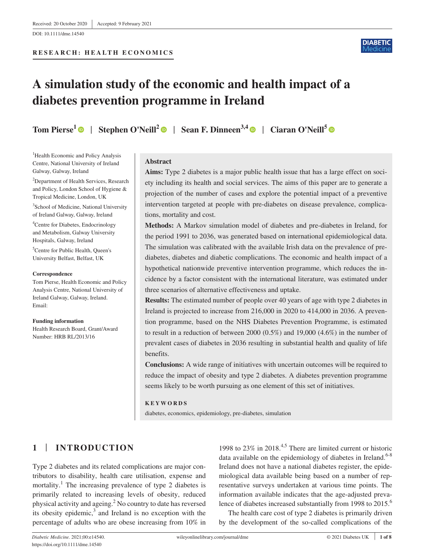DOI: 10.1111/dme.14540

#### **RESEARCH: HEALTH ECONOMICS**



# **A simulation study of the economic and health impact of a diabetes prevention programme in Ireland**

**Tom Pierse<sup>[1](https://orcid.org/0000-0002-2154-271X)</sup> | Stephen O'Neill<sup>[2](https://orcid.org/0000-0002-0022-0500)</sup> | Sean F. Dinneen<sup>3,4</sup> | Ciaran O'Neill<sup>5</sup> | ©** 

<sup>1</sup>Health Economic and Policy Analysis Centre, National University of Ireland Galway, Galway, Ireland

<sup>2</sup>Department of Health Services, Research and Policy, London School of Hygiene & Tropical Medicine, London, UK

3 School of Medicine, National University of Ireland Galway, Galway, Ireland

4 Centre for Diabetes, Endocrinology and Metabolism, Galway University Hospitals, Galway, Ireland

5 Centre for Public Health, Queen's University Belfast, Belfast, UK

#### **Correspondence**

Tom Pierse, Health Economic and Policy Analysis Centre, National University of Ireland Galway, Galway, Ireland. Email:

**Funding information** Health Research Board, Grant/Award Number: HRB RL/2013/16

### **Abstract**

**Aims:** Type 2 diabetes is a major public health issue that has a large effect on society including its health and social services. The aims of this paper are to generate a projection of the number of cases and explore the potential impact of a preventive intervention targeted at people with pre-diabetes on disease prevalence, complications, mortality and cost.

**Methods:** A Markov simulation model of diabetes and pre-diabetes in Ireland, for the period 1991 to 2036, was generated based on international epidemiological data. The simulation was calibrated with the available Irish data on the prevalence of prediabetes, diabetes and diabetic complications. The economic and health impact of a hypothetical nationwide preventive intervention programme, which reduces the incidence by a factor consistent with the international literature, was estimated under three scenarios of alternative effectiveness and uptake.

**Results:** The estimated number of people over 40 years of age with type 2 diabetes in Ireland is projected to increase from 216,000 in 2020 to 414,000 in 2036. A prevention programme, based on the NHS Diabetes Prevention Programme, is estimated to result in a reduction of between 2000 (0.5%) and 19,000 (4.6%) in the number of prevalent cases of diabetes in 2036 resulting in substantial health and quality of life benefits.

**Conclusions:** A wide range of initiatives with uncertain outcomes will be required to reduce the impact of obesity and type 2 diabetes. A diabetes prevention programme seems likely to be worth pursuing as one element of this set of initiatives.

#### **KEYWORDS**

diabetes, economics, epidemiology, pre-diabetes, simulation

## **1** | **INTRODUCTION**

Type 2 diabetes and its related complications are major contributors to disability, health care utilisation, expense and mortality.<sup>1</sup> The increasing prevalence of type 2 diabetes is primarily related to increasing levels of obesity, reduced physical activity and ageing.<sup>2</sup> No country to date has reversed its obesity epidemic, $3$  and Ireland is no exception with the percentage of adults who are obese increasing from 10% in

1998 to  $23\%$  in  $2018^{4,5}$  There are limited current or historic data available on the epidemiology of diabetes in Ireland.<sup>6-8</sup> Ireland does not have a national diabetes register, the epidemiological data available being based on a number of representative surveys undertaken at various time points. The information available indicates that the age-adjusted prevalence of diabetes increased substantially from 1998 to 2015.<sup>6</sup>

The health care cost of type 2 diabetes is primarily driven by the development of the so-called complications of the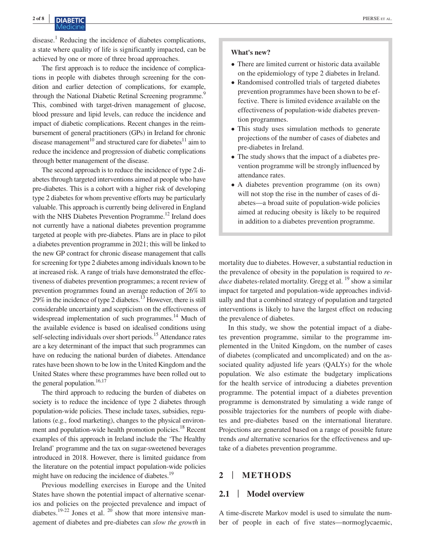disease.<sup>1</sup> Reducing the incidence of diabetes complications, a state where quality of life is significantly impacted, can be achieved by one or more of three broad approaches.

The first approach is to reduce the incidence of complications in people with diabetes through screening for the condition and earlier detection of complications, for example, through the National Diabetic Retinal Screening programme.<sup>9</sup> This, combined with target-driven management of glucose, blood pressure and lipid levels, can reduce the incidence and impact of diabetic complications. Recent changes in the reimbursement of general practitioners (GPs) in Ireland for chronic disease management<sup>10</sup> and structured care for diabetes<sup>11</sup> aim to reduce the incidence and progression of diabetic complications through better management of the disease.

The second approach is to reduce the incidence of type 2 diabetes through targeted interventions aimed at people who have pre-diabetes. This is a cohort with a higher risk of developing type 2 diabetes for whom preventive efforts may be particularly valuable. This approach is currently being delivered in England with the NHS Diabetes Prevention Programme.<sup>12</sup> Ireland does not currently have a national diabetes prevention programme targeted at people with pre-diabetes. Plans are in place to pilot a diabetes prevention programme in 2021; this will be linked to the new GP contract for chronic disease management that calls for screening for type 2 diabetes among individuals known to be at increased risk. A range of trials have demonstrated the effectiveness of diabetes prevention programmes; a recent review of prevention programmes found an average reduction of 26% to 29% in the incidence of type 2 diabetes.<sup>13</sup> However, there is still considerable uncertainty and scepticism on the effectiveness of widespread implementation of such programmes.<sup>14</sup> Much of the available evidence is based on idealised conditions using self-selecting individuals over short periods.<sup>15</sup> Attendance rates are a key determinant of the impact that such programmes can have on reducing the national burden of diabetes. Attendance rates have been shown to be low in the United Kingdom and the United States where these programmes have been rolled out to the general population.<sup>16,17</sup>

The third approach to reducing the burden of diabetes on society is to reduce the incidence of type 2 diabetes through population-wide policies. These include taxes, subsidies, regulations (e.g., food marketing), changes to the physical environment and population-wide health promotion policies.<sup>18</sup> Recent examples of this approach in Ireland include the 'The Healthy Ireland' programme and the tax on sugar-sweetened beverages introduced in 2018. However, there is limited guidance from the literature on the potential impact population-wide policies might have on reducing the incidence of diabetes.<sup>19</sup>

Previous modelling exercises in Europe and the United States have shown the potential impact of alternative scenarios and policies on the projected prevalence and impact of diabetes.<sup>19-22</sup> Jones et al.  $^{20}$  show that more intensive management of diabetes and pre-diabetes can *slow the growth* in

#### **What's new?**

- There are limited current or historic data available on the epidemiology of type 2 diabetes in Ireland.
- Randomised controlled trials of targeted diabetes prevention programmes have been shown to be effective. There is limited evidence available on the effectiveness of population-wide diabetes prevention programmes.
- This study uses simulation methods to generate projections of the number of cases of diabetes and pre-diabetes in Ireland.
- The study shows that the impact of a diabetes prevention programme will be strongly influenced by attendance rates.
- A diabetes prevention programme (on its own) will not stop the rise in the number of cases of diabetes—a broad suite of population-wide policies aimed at reducing obesity is likely to be required in addition to a diabetes prevention programme.

mortality due to diabetes. However, a substantial reduction in the prevalence of obesity in the population is required to *reduce* diabetes-related mortality. Gregg et al. <sup>19</sup> show a similar impact for targeted and population-wide approaches individually and that a combined strategy of population and targeted interventions is likely to have the largest effect on reducing the prevalence of diabetes.

In this study, we show the potential impact of a diabetes prevention programme, similar to the programme implemented in the United Kingdom, on the number of cases of diabetes (complicated and uncomplicated) and on the associated quality adjusted life years (QALYs) for the whole population. We also estimate the budgetary implications for the health service of introducing a diabetes prevention programme. The potential impact of a diabetes prevention programme is demonstrated by simulating a wide range of possible trajectories for the numbers of people with diabetes and pre-diabetes based on the international literature. Projections are generated based on a range of possible future trends *and* alternative scenarios for the effectiveness and uptake of a diabetes prevention programme.

### **2** | **METHODS**

#### **2.1** | **Model overview**

A time-discrete Markov model is used to simulate the number of people in each of five states—normoglycaemic,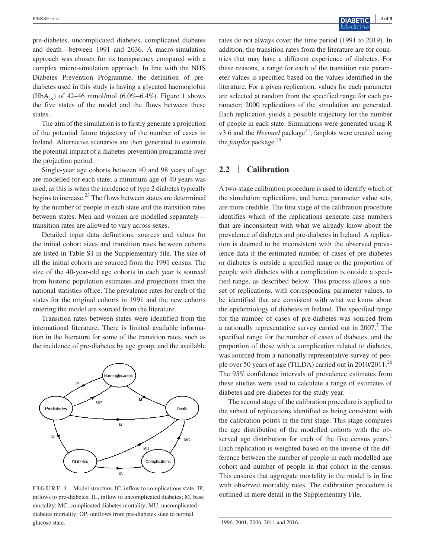pre-diabetes, uncomplicated diabetes, complicated diabetes and death—between 1991 and 2036. A macro-simulation approach was chosen for its transparency compared with a complex micro-simulation approach. In line with the NHS Diabetes Prevention Programme, the definition of prediabetes used in this study is having a glycated haemoglobin  $(HbA_{1c})$  of 42–46 mmol/mol (6.0%–6.4%). Figure 1 shows the five states of the model and the flows between these states.

The aim of the simulation is to firstly generate a projection of the potential future trajectory of the number of cases in Ireland. Alternative scenarios are then generated to estimate the potential impact of a diabetes prevention programme over the projection period.

Single-year age cohorts between 40 and 98 years of age are modelled for each state; a minimum age of 40 years was used, as this is when the incidence of type 2 diabetes typically begins to increase. $^{23}$  The flows between states are determined by the number of people in each state and the transition rates between states. Men and women are modelled separately transition rates are allowed to vary across sexes.

Detailed input data definitions, sources and values for the initial cohort sizes and transition rates between cohorts are listed in Table S1 in the Supplementary file. The size of all the initial cohorts are sourced from the 1991 census. The size of the 40-year-old age cohorts in each year is sourced from historic population estimates and projections from the national statistics office. The prevalence rates for each of the states for the original cohorts in 1991 and the new cohorts entering the model are sourced from the literature.

Transition rates between states were identified from the international literature. There is limited available information in the literature for some of the transition rates, such as the incidence of pre-diabetes by age group, and the available



**FIGURE 1** Model structure. IC, inflow to complications state; IP, inflows to pre-diabetes; IU, inflow to uncomplicated diabetes; M, base mortality; MC, complicated diabetes mortality; MU, uncomplicated diabetes mortality; OP, outflows from pre-diabetes state to normal glucose state.

rates do not always cover the time period (1991 to 2019). In addition, the transition rates from the literature are for countries that may have a different experience of diabetes. For these reasons, a range for each of the transition rate parameter values is specified based on the values identified in the literature. For a given replication, values for each parameter are selected at random from the specified range for each parameter; 2000 replications of the simulation are generated. Each replication yields a possible trajectory for the number of people in each state. Simulations were generated using R v3.6 and the *Heemod* package<sup>24</sup>; fanplots were created using the *fanplot* package.25

## **2.2** | **Calibration**

A two-stage calibration procedure is used to identify which of the simulation replications, and hence parameter value sets, are more credible. The first stage of the calibration procedure identifies which of the replications generate case numbers that are inconsistent with what we already know about the prevalence of diabetes and pre-diabetes in Ireland. A replication is deemed to be inconsistent with the observed prevalence data if the estimated number of cases of pre-diabetes or diabetes is outside a specified range or the proportion of people with diabetes with a complication is outside a specified range, as described below. This process allows a subset of replications, with corresponding parameter values, to be identified that are consistent with what we know about the epidemiology of diabetes in Ireland. The specified range for the number of cases of pre-diabetes was sourced from a nationally representative survey carried out in 2007.<sup>7</sup> The specified range for the number of cases of diabetes, and the proportion of these with a complication related to diabetes, was sourced from a nationally representative survey of people over 50 years of age (TILDA) carried out in 2010/2011.<sup>26</sup> The 95% confidence intervals of prevalence estimates from these studies were used to calculate a range of estimates of diabetes and pre-diabetes for the study year.

The second stage of the calibration procedure is applied to the subset of replications identified as being consistent with the calibration points in the first stage. This stage compares the age distribution of the modelled cohorts with the observed age distribution for each of the five census years.<sup>1</sup> Each replication is weighted based on the inverse of the difference between the number of people in each modelled age cohort and number of people in that cohort in the census. This ensures that aggregate mortality in the model is in line with observed mortality rates. The calibration procedure is outlined in more detail in the Supplementary File.

<sup>1</sup> 1996, 2001, 2006, 2011 and 2016.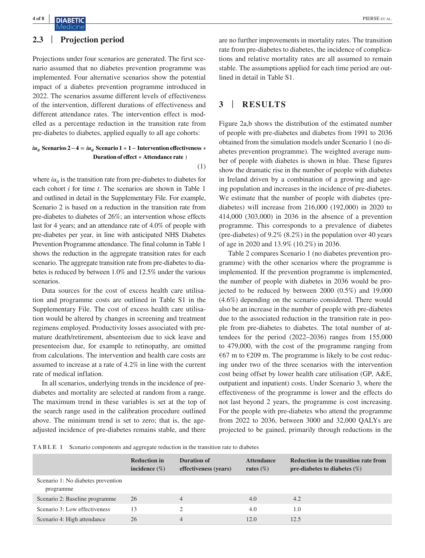## **2.3** | **Projection period**

Projections under four scenarios are generated. The first scenario assumed that no diabetes prevention programme was implemented. Four alternative scenarios show the potential impact of a diabetes prevention programme introduced in 2022. The scenarios assume different levels of effectiveness of the intervention, different durations of effectiveness and different attendance rates. The intervention effect is modelled as a percentage reduction in the transition rate from pre-diabetes to diabetes, applied equally to all age cohorts:

#### $iu_{it}$  Scenarios 2 − 4 =  $iu_{it}$  Scenario 1 ∗ 1 − Intervention effectiveness ∗ **Duration of effect** ∗ **Attendance rate** )

where  $i\mathbf{u}_{it}$  is the transition rate from pre-diabetes to diabetes for each cohort *i* for time *t*. The scenarios are shown in Table 1 and outlined in detail in the Supplementary File. For example, Scenario 2 is based on a reduction in the transition rate from pre-diabetes to diabetes of 26%; an intervention whose effects last for 4 years; and an attendance rate of 4.0% of people with pre-diabetes per year, in line with anticipated NHS Diabetes Prevention Programme attendance. The final column in Table 1 shows the reduction in the aggregate transition rates for each scenario. The aggregate transition rate from pre-diabetes to diabetes is reduced by between 1.0% and 12.5% under the various scenarios.

Data sources for the cost of excess health care utilisation and programme costs are outlined in Table S1 in the Supplementary File. The cost of excess health care utilisation would be altered by changes in screening and treatment regimens employed. Productivity losses associated with premature death/retirement, absenteeism due to sick leave and presenteeism due, for example to retinopathy, are omitted from calculations. The intervention and health care costs are assumed to increase at a rate of 4.2% in line with the current rate of medical inflation.

In all scenarios, underlying trends in the incidence of prediabetes and mortality are selected at random from a range. The maximum trend in these variables is set at the top of the search range used in the calibration procedure outlined above. The minimum trend is set to zero; that is, the ageadjusted incidence of pre-diabetes remains stable, and there

are no further improvements in mortality rates. The transition rate from pre-diabetes to diabetes, the incidence of complications and relative mortality rates are all assumed to remain stable. The assumptions applied for each time period are outlined in detail in Table S1.

## **3** | **RESULTS**

(1)

Figure 2a,b shows the distribution of the estimated number of people with pre-diabetes and diabetes from 1991 to 2036 obtained from the simulation models under Scenario 1 (no diabetes prevention programme). The weighted average number of people with diabetes is shown in blue. These figures show the dramatic rise in the number of people with diabetes in Ireland driven by a combination of a growing and ageing population and increases in the incidence of pre-diabetes. We estimate that the number of people with diabetes (prediabetes) will increase from 216,000 (192,000) in 2020 to 414,000 (303,000) in 2036 in the absence of a prevention programme. This corresponds to a prevalence of diabetes (pre-diabetes) of 9.2% (8.2%) in the population over 40 years of age in 2020 and 13.9% (10.2%) in 2036.

Table 2 compares Scenario 1 (no diabetes prevention programme) with the other scenarios where the programme is implemented. If the prevention programme is implemented, the number of people with diabetes in 2036 would be projected to be reduced by between 2000 (0.5%) and 19,000 (4.6%) depending on the scenario considered. There would also be an increase in the number of people with pre-diabetes due to the associated reduction in the transition rate in people from pre-diabetes to diabetes. The total number of attendees for the period (2022–2036) ranges from 155,000 to 479,000, with the cost of the programme ranging from  $\epsilon$ 67 m to  $\epsilon$ 209 m. The programme is likely to be cost reducing under two of the three scenarios with the intervention cost being offset by lower health care utilisation (GP, A&E, outpatient and inpatient) costs. Under Scenario 3, where the effectiveness of the programme is lower and the effects do not last beyond 2 years, the programme is cost increasing. For the people with pre-diabetes who attend the programme from 2022 to 2036, between 3000 and 32,000 QALYs are projected to be gained, primarily through reductions in the

**TABLE 1** Scenario components and aggregate reduction in the transition rate to diabetes

|                                                 | <b>Reduction in</b><br>incidence $(\%)$ | Duration of<br>effectiveness (years) | <b>Attendance</b><br>rates $(\%)$ | Reduction in the transition rate from<br>pre-diabetes to diabetes $(\%)$ |
|-------------------------------------------------|-----------------------------------------|--------------------------------------|-----------------------------------|--------------------------------------------------------------------------|
| Scenario 1: No diabetes prevention<br>programme |                                         |                                      |                                   |                                                                          |
| Scenario 2: Baseline programme                  | 26                                      | $\overline{4}$                       | 4.0                               | 4.2                                                                      |
| Scenario 3: Low effectiveness                   | 13                                      |                                      | 4.0                               | $1.0^{\circ}$                                                            |
| Scenario 4: High attendance                     | 26                                      | 4                                    | 12.0                              | 12.5                                                                     |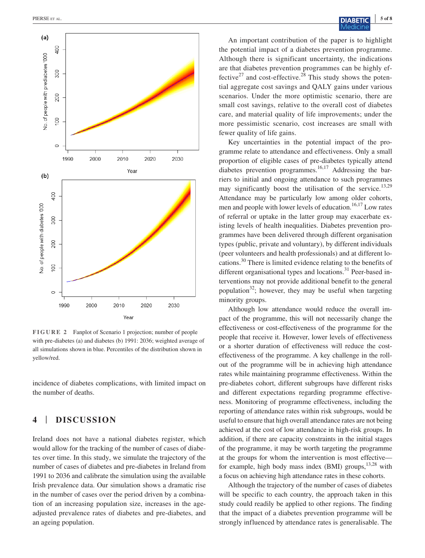

**FIGURE 2** Fanplot of Scenario 1 projection; number of people with pre-diabetes (a) and diabetes (b) 1991: 2036; weighted average of all simulations shown in blue. Percentiles of the distribution shown in yellow/red.

incidence of diabetes complications, with limited impact on the number of deaths.

## **4** | **DISCUSSION**

Ireland does not have a national diabetes register, which would allow for the tracking of the number of cases of diabetes over time. In this study, we simulate the trajectory of the number of cases of diabetes and pre-diabetes in Ireland from 1991 to 2036 and calibrate the simulation using the available Irish prevalence data. Our simulation shows a dramatic rise in the number of cases over the period driven by a combination of an increasing population size, increases in the ageadjusted prevalence rates of diabetes and pre-diabetes, and an ageing population.

An important contribution of the paper is to highlight the potential impact of a diabetes prevention programme. Although there is significant uncertainty, the indications are that diabetes prevention programmes can be highly effective<sup>27</sup> and cost-effective.<sup>28</sup> This study shows the potential aggregate cost savings and QALY gains under various scenarios. Under the more optimistic scenario, there are small cost savings, relative to the overall cost of diabetes care, and material quality of life improvements; under the more pessimistic scenario, cost increases are small with fewer quality of life gains.

Key uncertainties in the potential impact of the programme relate to attendance and effectiveness. Only a small proportion of eligible cases of pre-diabetes typically attend diabetes prevention programmes.<sup>16,17</sup> Addressing the barriers to initial and ongoing attendance to such programmes may significantly boost the utilisation of the service.<sup>13,29</sup> Attendance may be particularly low among older cohorts, men and people with lower levels of education.<sup>16,17</sup> Low rates of referral or uptake in the latter group may exacerbate existing levels of health inequalities. Diabetes prevention programmes have been delivered through different organisation types (public, private and voluntary), by different individuals (peer volunteers and health professionals) and at different locations.30 There is limited evidence relating to the benefits of different organisational types and locations.<sup>31</sup> Peer-based interventions may not provide additional benefit to the general population<sup>32</sup>; however, they may be useful when targeting minority groups.

Although low attendance would reduce the overall impact of the programme, this will not necessarily change the effectiveness or cost-effectiveness of the programme for the people that receive it. However, lower levels of effectiveness or a shorter duration of effectiveness will reduce the costeffectiveness of the programme. A key challenge in the rollout of the programme will be in achieving high attendance rates while maintaining programme effectiveness. Within the pre-diabetes cohort, different subgroups have different risks and different expectations regarding programme effectiveness. Monitoring of programme effectiveness, including the reporting of attendance rates within risk subgroups, would be useful to ensure that high overall attendance rates are not being achieved at the cost of low attendance in high-risk groups. In addition, if there are capacity constraints in the initial stages of the programme, it may be worth targeting the programme at the groups for whom the intervention is most effective for example, high body mass index (BMI) groups,  $13,28$  with a focus on achieving high attendance rates in these cohorts.

Although the trajectory of the number of cases of diabetes will be specific to each country, the approach taken in this study could readily be applied to other regions. The finding that the impact of a diabetes prevention programme will be strongly influenced by attendance rates is generalisable. The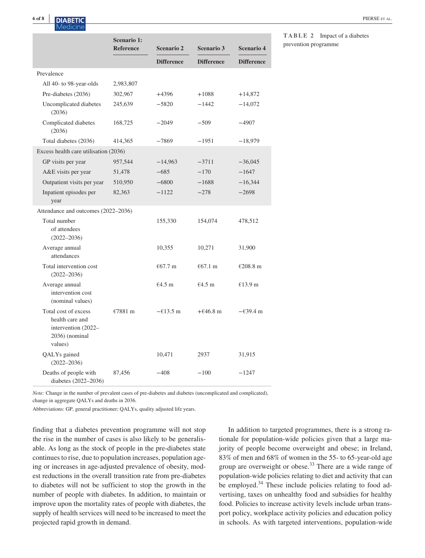# **6 of 8 <sup>|</sup>** PIERSE et al.

|                                                                                                | <b>Scenario 1:</b> |                    |                    |                    |  |  |  |
|------------------------------------------------------------------------------------------------|--------------------|--------------------|--------------------|--------------------|--|--|--|
|                                                                                                | <b>Reference</b>   | <b>Scenario 2</b>  | <b>Scenario 3</b>  | <b>Scenario 4</b>  |  |  |  |
|                                                                                                |                    | <b>Difference</b>  | <b>Difference</b>  | <b>Difference</b>  |  |  |  |
| Prevalence                                                                                     |                    |                    |                    |                    |  |  |  |
| All 40- to 98-year-olds                                                                        | 2,983,807          |                    |                    |                    |  |  |  |
| Pre-diabetes (2036)                                                                            | 302,967            | $+4396$            | $+1088$            | $+14,872$          |  |  |  |
| Uncomplicated diabetes<br>(2036)                                                               | 245,639            | $-5820$            | $-1442$            | $-14,072$          |  |  |  |
| Complicated diabetes<br>(2036)                                                                 | 168,725            | $-2049$            | $-509$             | $-4907$            |  |  |  |
| Total diabetes (2036)                                                                          | 414,365            | $-7869$            | $-1951$            | $-18,979$          |  |  |  |
| Excess health care utilisation (2036)                                                          |                    |                    |                    |                    |  |  |  |
| GP visits per year                                                                             | 957,544            | $-14,963$          | $-3711$            | $-36,045$          |  |  |  |
| A&E visits per year                                                                            | 51,478             | $-685$             | $-170$             | $-1647$            |  |  |  |
| Outpatient visits per year                                                                     | 510,950            | $-6800$            | $-1688$            | $-16,344$          |  |  |  |
| Inpatient episodes per<br>year                                                                 | 82,363             | $-1122$            | $-278$             | $-2698$            |  |  |  |
| Attendance and outcomes (2022–2036)                                                            |                    |                    |                    |                    |  |  |  |
| Total number<br>of attendees<br>$(2022 - 2036)$                                                |                    | 155,330            | 154,074            | 478,512            |  |  |  |
| Average annual<br>attendances                                                                  |                    | 10,355             | 10,271             | 31,900             |  |  |  |
| Total intervention cost<br>$(2022 - 2036)$                                                     |                    | $€67.7 \text{ m}$  | €67.1 m            | €208.8 $m$         |  |  |  |
| Average annual<br>intervention cost<br>(nominal values)                                        |                    | €4.5 m             | $€4.5$ m           | €13.9 m            |  |  |  |
| Total cost of excess<br>health care and<br>intervention (2022–<br>$2036$ ) (nominal<br>values) | €7881 m            | $-\epsilon$ 13.5 m | $+646.8 \text{ m}$ | $-\epsilon$ 39.4 m |  |  |  |
| QALYs gained<br>$(2022 - 2036)$                                                                |                    | 10,471             | 2937               | 31,915             |  |  |  |
| Deaths of people with<br>diabetes (2022-2036)                                                  | 87,456             | $-408$             | $-100$             | $-1247$            |  |  |  |

**TABLE 2** Impact of a diabetes prevention programme

*Note:* Change in the number of prevalent cases of pre-diabetes and diabetes (uncomplicated and complicated), change in aggregate QALYs and deaths in 2036.

Abbreviations: GP, general practitioner; QALYs, quality adjusted life years.

finding that a diabetes prevention programme will not stop the rise in the number of cases is also likely to be generalisable. As long as the stock of people in the pre-diabetes state continues to rise, due to population increases, population ageing or increases in age-adjusted prevalence of obesity, modest reductions in the overall transition rate from pre-diabetes to diabetes will not be sufficient to stop the growth in the number of people with diabetes. In addition, to maintain or improve upon the mortality rates of people with diabetes, the supply of health services will need to be increased to meet the projected rapid growth in demand.

In addition to targeted programmes, there is a strong rationale for population-wide policies given that a large majority of people become overweight and obese; in Ireland, 83% of men and 68% of women in the 55- to 65-year-old age group are overweight or obese.<sup>33</sup> There are a wide range of population-wide policies relating to diet and activity that can be employed. $34$  These include policies relating to food advertising, taxes on unhealthy food and subsidies for healthy food. Policies to increase activity levels include urban transport policy, workplace activity policies and education policy in schools. As with targeted interventions, population-wide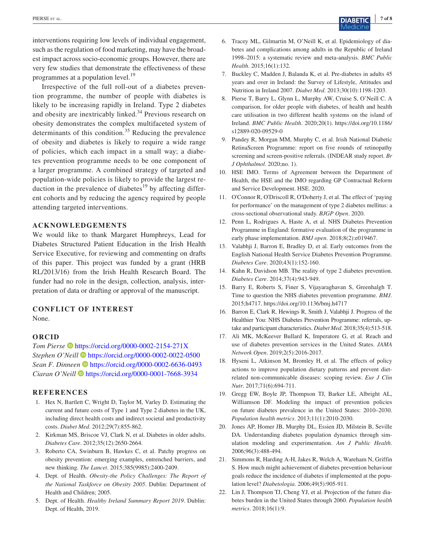interventions requiring low levels of individual engagement, such as the regulation of food marketing, may have the broadest impact across socio-economic groups. However, there are very few studies that demonstrate the effectiveness of these programmes at a population level.<sup>19</sup>

Irrespective of the full roll-out of a diabetes prevention programme, the number of people with diabetes is likely to be increasing rapidly in Ireland. Type 2 diabetes and obesity are inextricably linked.<sup>34</sup> Previous research on obesity demonstrates the complex multifaceted system of determinants of this condition.<sup>35</sup> Reducing the prevalence of obesity and diabetes is likely to require a wide range of policies, which each impact in a small way; a diabetes prevention programme needs to be one component of a larger programme. A combined strategy of targeted and population-wide policies is likely to provide the largest reduction in the prevalence of diabetes<sup>19</sup> by affecting different cohorts and by reducing the agency required by people attending targeted interventions.

#### **ACKNOWLEDGEMENTS**

We would like to thank Margaret Humphreys, Lead for Diabetes Structured Patient Education in the Irish Health Service Executive, for reviewing and commenting on drafts of this paper. This project was funded by a grant (HRB RL/2013/16) from the Irish Health Research Board. The funder had no role in the design, collection, analysis, interpretation of data or drafting or approval of the manuscript.

#### **CONFLICT OF INTEREST**

None.

#### **ORCID**

*Tom Pierse* <https://orcid.org/0000-0002-2154-271X> *Stephen O'Neill* <https://orcid.org/0000-0002-0022-0500> *Sean F. Dinneen* <https://orcid.org/0000-0002-6636-0493> *Ciaran O'Neill* <https://orcid.org/0000-0001-7668-3934>

#### **REFERENCES**

- 1. Hex N, Bartlett C, Wright D, Taylor M, Varley D. Estimating the current and future costs of Type 1 and Type 2 diabetes in the UK, including direct health costs and indirect societal and productivity costs. *Diabet Med*. 2012;29(7):855-862.
- 2. Kirkman MS, Briscoe VJ, Clark N, et al. Diabetes in older adults. *Diabetes Care*. 2012;35(12):2650-2664.
- 3. Roberto CA, Swinburn B, Hawkes C, et al. Patchy progress on obesity prevention: emerging examples, entrenched barriers, and new thinking. *The Lancet*. 2015;385(9985):2400-2409.
- 4. Dept. of Health. *Obesity-the Policy Challenges: The Report of the National Taskforce on Obesity 2005*. Dublin: Department of Health and Children; 2005.
- 5. Dept. of Health. *Healthy Ireland Summary Report 2019*. Dublin: Dept. of Health, 2019.
- 6. Tracey ML, Gilmartin M, O'Neill K, et al. Epidemiology of diabetes and complications among adults in the Republic of Ireland 1998–2015: a systematic review and meta-analysis. *BMC Public Health*. 2015;16(1):132.
- 7. Buckley C, Madden J, Balanda K, et al. Pre-diabetes in adults 45 years and over in Ireland: the Survey of Lifestyle, Attitudes and Nutrition in Ireland 2007. *Diabet Med*. 2013;30(10):1198-1203.
- 8. Pierse T, Barry L, Glynn L, Murphy AW, Cruise S, O'Neill C. A comparison, for older people with diabetes, of health and health care utilisation in two different health systems on the island of Ireland. *BMC Public Health*. 2020;20(1). [https://doi.org/10.1186/](https://doi.org/10.1186/s12889-020-09529-0) [s12889-020-09529-0](https://doi.org/10.1186/s12889-020-09529-0)
- 9. Pandey R, Morgan MM, Murphy C, et al. Irish National Diabetic RetinaScreen Programme: report on five rounds of retinopathy screening and screen-positive referrals. (INDEAR study report. *Br J Ophthalmol*. 2020;no. 1).
- 10. HSE IMO. Terms of Agreement between the Department of Health, the HSE and the IMO regarding GP Contractual Reform and Service Development. HSE. 2020.
- 11. O'Connor R, O'Driscoll R, O'Doherty J, et al. The effect of 'paying for performance' on the management of type 2 diabetes mellitus: a cross-sectional observational study. *BJGP Open*. 2020.
- 12. Penn L, Rodrigues A, Haste A, et al. NHS Diabetes Prevention Programme in England: formative evaluation of the programme in early phase implementation. *BMJ open*. 2018;8(2):e019467.
- 13. Valabhji J, Barron E, Bradley D, et al. Early outcomes from the English National Health Service Diabetes Prevention Programme. *Diabetes Care*. 2020;43(1):152-160.
- 14. Kahn R, Davidson MB. The reality of type 2 diabetes prevention. *Diabetes Care*. 2014;37(4):943-949.
- 15. Barry E, Roberts S, Finer S, Vijayaraghavan S, Greenhalgh T. Time to question the NHS diabetes prevention programme. *BMJ*. 2015;h4717. <https://doi.org/10.1136/bmj.h4717>
- 16. Barron E, Clark R, Hewings R, Smith J, Valabhji J. Progress of the Healthier You: NHS Diabetes Prevention Programme: referrals, uptake and participant characteristics. *Diabet Med*. 2018;35(4):513-518.
- 17. Ali MK, McKeever Bullard K, Imperatore G, et al. Reach and use of diabetes prevention services in the United States. *JAMA Network Open*. 2019;2(5):2016-2017.
- 18. Hyseni L, Atkinson M, Bromley H, et al. The effects of policy actions to improve population dietary patterns and prevent dietrelated non-communicable diseases: scoping review. *Eur J Clin Nutr*. 2017;71(6):694-711.
- 19. Gregg EW, Boyle JP, Thompson TJ, Barker LE, Albright AL, Williamson DF. Modeling the impact of prevention policies on future diabetes prevalence in the United States: 2010–2030. *Population health metrics*. 2013;11(1):2010-2030.
- 20. Jones AP, Homer JB, Murphy DL, Essien JD, Milstein B, Seville DA. Understanding diabetes population dynamics through simulation modeling and experimentation. *Am J Public Health*. 2006;96(3):488-494.
- 21. Simmons R, Harding A-H, Jakes R, Welch A, Wareham N, Griffin S. How much might achievement of diabetes prevention behaviour goals reduce the incidence of diabetes if implemented at the population level? *Diabetologia*. 2006;49(5):905-911.
- 22. Lin J, Thompson TJ, Cheng YJ, et al. Projection of the future diabetes burden in the United States through 2060. *Population health metrics*. 2018;16(1):9.